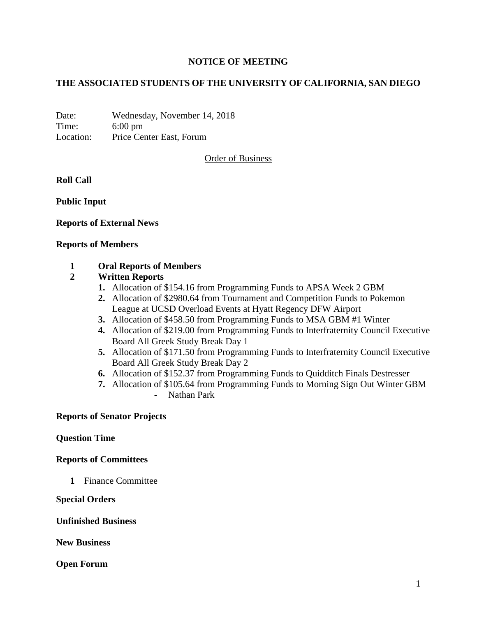## **NOTICE OF MEETING**

## **THE ASSOCIATED STUDENTS OF THE UNIVERSITY OF CALIFORNIA, SAN DIEGO**

Date: Wednesday, November 14, 2018 Time: 6:00 pm Location: Price Center East, Forum

Order of Business

**Roll Call**

**Public Input**

### **Reports of External News**

### **Reports of Members**

## **1 Oral Reports of Members**

### **2 Written Reports**

- **1.** Allocation of \$154.16 from Programming Funds to APSA Week 2 GBM
- **2.** Allocation of \$2980.64 from Tournament and Competition Funds to Pokemon League at UCSD Overload Events at Hyatt Regency DFW Airport
- **3.** Allocation of \$458.50 from Programming Funds to MSA GBM #1 Winter
- **4.** Allocation of \$219.00 from Programming Funds to Interfraternity Council Executive Board All Greek Study Break Day 1
- **5.** Allocation of \$171.50 from Programming Funds to Interfraternity Council Executive Board All Greek Study Break Day 2
- **6.** Allocation of \$152.37 from Programming Funds to Quidditch Finals Destresser
- **7.** Allocation of \$105.64 from Programming Funds to Morning Sign Out Winter GBM - Nathan Park

#### **Reports of Senator Projects**

#### **Question Time**

#### **Reports of Committees**

**1** Finance Committee

#### **Special Orders**

#### **Unfinished Business**

**New Business**

## **Open Forum**